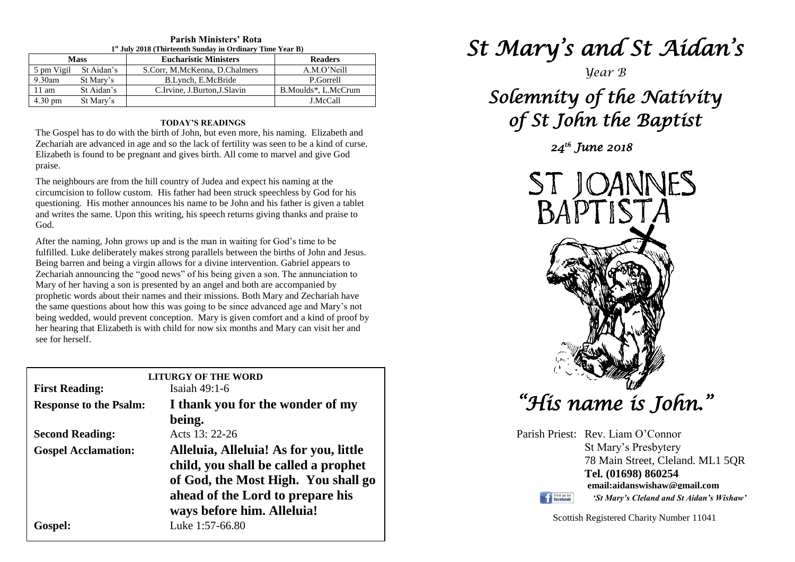| <b>Mass</b>       |                       | <b>Eucharistic Ministers</b>  | <b>Readers</b>      |
|-------------------|-----------------------|-------------------------------|---------------------|
|                   | 5 pm Vigil St Aidan's | S.Corr, M.McKenna, D.Chalmers | A.M.O'Neill         |
| $9.30$ am         | St Mary's             | B.Lynch, E.McBride            | P.Gorrell           |
| $11 \text{ am}$   | St Aidan's            | C.Irvine, J.Burton, J.Slavin  | B.Moulds*, L.McCrum |
| $4.30 \text{ pm}$ | St Mary's             |                               | J.McCall            |

#### **Parish Ministers' Rota st July 2018 (Thirteenth Sunday in Ordinary Time Year B)**

#### **TODAY'S READINGS**

The Gospel has to do with the birth of John, but even more, his naming. Elizabeth and Zechariah are advanced in age and so the lack of fertility was seen to be a kind of curse. Elizabeth is found to be pregnant and gives birth. All come to marvel and give God praise.

The neighbours are from the hill country of Judea and expect his naming at the circumcision to follow custom. His father had been struck speechless by God for his questioning. His mother announces his name to be John and his father is given a tablet and writes the same. Upon this writing, his speech returns giving thanks and praise to God.

prophetic words about their names and their missions. Both Mary and Zechariah have<br>the same questions about how this was going to be since advanced age and Mary's not her hearing that Elizabeth is with child for now six months and Mary can visit her and see for herself. After the naming, John grows up and is the man in waiting for God's time to be fulfilled. Luke deliberately makes strong parallels between the births of John and Jesus. Being barren and being a virgin allows for a divine intervention. Gabriel appears to Zechariah announcing the "good news" of his being given a son. The annunciation to Mary of her having a son is presented by an angel and both are accompanied by the same questions about how this was going to be since advanced age and Mary's not being wedded, would prevent conception. Mary is given comfort and a kind of proof by see for herself.

|                               | <b>LITURGY OF THE WORD</b>             |
|-------------------------------|----------------------------------------|
| <b>First Reading:</b>         | Isaiah $49:1-6$                        |
| <b>Response to the Psalm:</b> | I thank you for the wonder of my       |
|                               | being.                                 |
| <b>Second Reading:</b>        | Acts 13: 22-26                         |
| <b>Gospel Acclamation:</b>    | Alleluia, Alleluia! As for you, little |
|                               | child, you shall be called a prophet   |
|                               | of God, the Most High. You shall go    |
|                               | ahead of the Lord to prepare his       |
|                               | ways before him. Alleluia!             |
| Gospel:                       | Luke 1:57-66.80                        |

# *St Mary's and St Aidan's*

*Year B*

# *Solemnity of the Nativity of St John the Baptist*

*24th June 2018* 



*"His name is John."* 

Parish Priest: Rev. Liam O'Connor St Mary's Presbytery 78 Main Street, Cleland. ML1 5QR **Tel. (01698) 860254 email:aidanswishaw@gmail.com** Find us on *'St Mary's Cleland and St Aidan's Wishaw'*

Scottish Registered Charity Number 11041